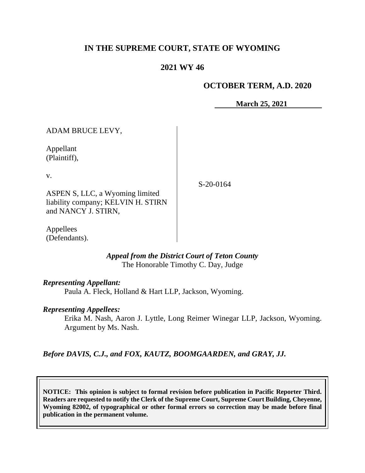# **IN THE SUPREME COURT, STATE OF WYOMING**

# **2021 WY 46**

# **OCTOBER TERM, A.D. 2020**

**March 25, 2021**

ADAM BRUCE LEVY, Appellant (Plaintiff), v. ASPEN S, LLC, a Wyoming limited liability company; KELVIN H. STIRN and NANCY J. STIRN,

Appellees (Defendants).

> *Appeal from the District Court of Teton County* The Honorable Timothy C. Day, Judge

### *Representing Appellant:*

Paula A. Fleck, Holland & Hart LLP, Jackson, Wyoming.

### *Representing Appellees:*

Erika M. Nash, Aaron J. Lyttle, Long Reimer Winegar LLP, Jackson, Wyoming. Argument by Ms. Nash.

*Before DAVIS, C.J., and FOX, KAUTZ, BOOMGAARDEN, and GRAY, JJ.*

**NOTICE: This opinion is subject to formal revision before publication in Pacific Reporter Third. Readers are requested to notify the Clerk of the Supreme Court, Supreme Court Building, Cheyenne, Wyoming 82002, of typographical or other formal errors so correction may be made before final publication in the permanent volume.**

S-20-0164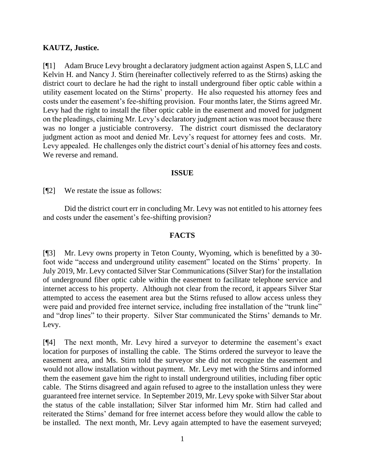## **KAUTZ, Justice.**

[¶1] Adam Bruce Levy brought a declaratory judgment action against Aspen S, LLC and Kelvin H. and Nancy J. Stirn (hereinafter collectively referred to as the Stirns) asking the district court to declare he had the right to install underground fiber optic cable within a utility easement located on the Stirns' property. He also requested his attorney fees and costs under the easement's fee-shifting provision. Four months later, the Stirns agreed Mr. Levy had the right to install the fiber optic cable in the easement and moved for judgment on the pleadings, claiming Mr. Levy's declaratory judgment action was moot because there was no longer a justiciable controversy. The district court dismissed the declaratory judgment action as moot and denied Mr. Levy's request for attorney fees and costs. Mr. Levy appealed. He challenges only the district court's denial of his attorney fees and costs. We reverse and remand.

## **ISSUE**

[¶2] We restate the issue as follows:

Did the district court err in concluding Mr. Levy was not entitled to his attorney fees and costs under the easement's fee-shifting provision?

## **FACTS**

[¶3] Mr. Levy owns property in Teton County, Wyoming, which is benefitted by a 30 foot wide "access and underground utility easement" located on the Stirns' property. In July 2019, Mr. Levy contacted Silver Star Communications (Silver Star) for the installation of underground fiber optic cable within the easement to facilitate telephone service and internet access to his property. Although not clear from the record, it appears Silver Star attempted to access the easement area but the Stirns refused to allow access unless they were paid and provided free internet service, including free installation of the "trunk line" and "drop lines" to their property. Silver Star communicated the Stirns' demands to Mr. Levy.

[¶4] The next month, Mr. Levy hired a surveyor to determine the easement's exact location for purposes of installing the cable. The Stirns ordered the surveyor to leave the easement area, and Ms. Stirn told the surveyor she did not recognize the easement and would not allow installation without payment. Mr. Levy met with the Stirns and informed them the easement gave him the right to install underground utilities, including fiber optic cable. The Stirns disagreed and again refused to agree to the installation unless they were guaranteed free internet service. In September 2019, Mr. Levy spoke with Silver Star about the status of the cable installation; Silver Star informed him Mr. Stirn had called and reiterated the Stirns' demand for free internet access before they would allow the cable to be installed. The next month, Mr. Levy again attempted to have the easement surveyed;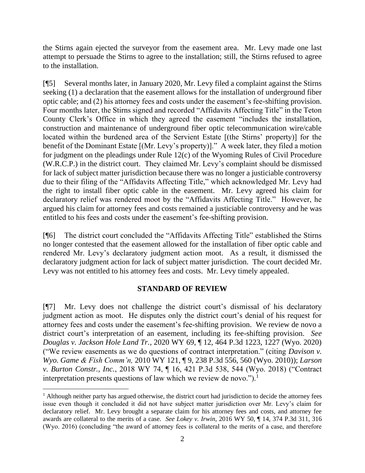the Stirns again ejected the surveyor from the easement area. Mr. Levy made one last attempt to persuade the Stirns to agree to the installation; still, the Stirns refused to agree to the installation.

[¶5] Several months later, in January 2020, Mr. Levy filed a complaint against the Stirns seeking (1) a declaration that the easement allows for the installation of underground fiber optic cable; and (2) his attorney fees and costs under the easement's fee-shifting provision. Four months later, the Stirns signed and recorded "Affidavits Affecting Title" in the Teton County Clerk's Office in which they agreed the easement "includes the installation, construction and maintenance of underground fiber optic telecommunication wire/cable located within the burdened area of the Servient Estate [(the Stirns' property)] for the benefit of the Dominant Estate [(Mr. Levy's property)]." A week later, they filed a motion for judgment on the pleadings under Rule 12(c) of the Wyoming Rules of Civil Procedure (W.R.C.P.) in the district court. They claimed Mr. Levy's complaint should be dismissed for lack of subject matter jurisdiction because there was no longer a justiciable controversy due to their filing of the "Affidavits Affecting Title," which acknowledged Mr. Levy had the right to install fiber optic cable in the easement. Mr. Levy agreed his claim for declaratory relief was rendered moot by the "Affidavits Affecting Title." However, he argued his claim for attorney fees and costs remained a justiciable controversy and he was entitled to his fees and costs under the easement's fee-shifting provision.

[¶6] The district court concluded the "Affidavits Affecting Title" established the Stirns no longer contested that the easement allowed for the installation of fiber optic cable and rendered Mr. Levy's declaratory judgment action moot. As a result, it dismissed the declaratory judgment action for lack of subject matter jurisdiction. The court decided Mr. Levy was not entitled to his attorney fees and costs. Mr. Levy timely appealed.

### **STANDARD OF REVIEW**

[¶7] Mr. Levy does not challenge the district court's dismissal of his declaratory judgment action as moot. He disputes only the district court's denial of his request for attorney fees and costs under the easement's fee-shifting provision. We review de novo a district court's interpretation of an easement, including its fee-shifting provision. *See Douglas v. Jackson Hole Land Tr.*, 2020 WY 69, ¶ 12, 464 P.3d 1223, 1227 (Wyo. 2020) ("We review easements as we do questions of contract interpretation." (citing *Davison v. Wyo. Game & Fish Comm'n,* 2010 WY 121, ¶ 9, 238 P.3d 556, 560 (Wyo. 2010)); *Larson v. Burton Constr., Inc.*, 2018 WY 74, ¶ 16, 421 P.3d 538, 544 (Wyo. 2018) ("Contract interpretation presents questions of law which we review de novo.").<sup>1</sup>

<sup>&</sup>lt;sup>1</sup> Although neither party has argued otherwise, the district court had jurisdiction to decide the attorney fees issue even though it concluded it did not have subject matter jurisdiction over Mr. Levy's claim for declaratory relief. Mr. Levy brought a separate claim for his attorney fees and costs, and attorney fee awards are collateral to the merits of a case. *See Lokey v. Irwin*, 2016 WY 50, ¶ 14, 374 P.3d 311, 316 (Wyo. 2016) (concluding "the award of attorney fees is collateral to the merits of a case, and therefore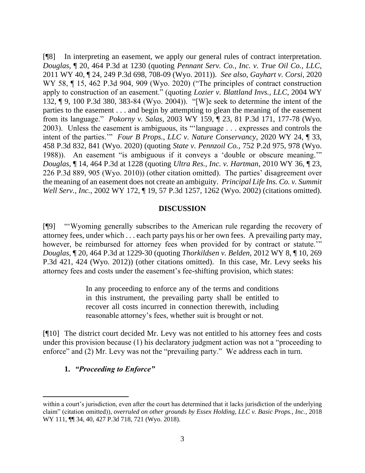[¶8] In interpreting an easement, we apply our general rules of contract interpretation. *Douglas*, ¶ 20, 464 P.3d at 1230 (quoting *Pennant Serv. Co., Inc. v. True Oil Co., LLC,* 2011 WY 40, ¶ 24, 249 P.3d 698, 708-09 (Wyo. 2011)). *See also, Gayhart v. Corsi*, 2020 WY 58,  $\P$  15, 462 P.3d 904, 909 (Wyo. 2020) ("The principles of contract construction apply to construction of an easement." (quoting *Lozier v. Blattland Invs., LLC*, 2004 WY 132, ¶ 9, 100 P.3d 380, 383-84 (Wyo. 2004)). "[W]e seek to determine the intent of the parties to the easement . . . and begin by attempting to glean the meaning of the easement from its language." *Pokorny v. Salas*, 2003 WY 159, ¶ 23, 81 P.3d 171, 177-78 (Wyo. 2003). Unless the easement is ambiguous, its "'language . . . expresses and controls the intent of the parties.'" *Four B Props., LLC v. Nature Conservancy*, 2020 WY 24, ¶ 33, 458 P.3d 832, 841 (Wyo. 2020) (quoting *State v. Pennzoil Co.*, 752 P.2d 975, 978 (Wyo. 1988)). An easement "is ambiguous if it conveys a 'double or obscure meaning.'" *Douglas*, ¶ 14, 464 P.3d at 1228 (quoting *Ultra Res., Inc. v. Hartman*, 2010 WY 36, ¶ 23, 226 P.3d 889, 905 (Wyo. 2010)) (other citation omitted). The parties' disagreement over the meaning of an easement does not create an ambiguity. *Principal Life Ins. Co. v. Summit Well Serv., Inc.*, 2002 WY 172, ¶ 19, 57 P.3d 1257, 1262 (Wyo. 2002) (citations omitted).

#### **DISCUSSION**

[¶9] "'Wyoming generally subscribes to the American rule regarding the recovery of attorney fees, under which . . . each party pays his or her own fees. A prevailing party may, however, be reimbursed for attorney fees when provided for by contract or statute.'" *Douglas*, ¶ 20, 464 P.3d at 1229-30 (quoting *Thorkildsen v. Belden*, 2012 WY 8, ¶ 10, 269 P.3d 421, 424 (Wyo. 2012)) (other citations omitted). In this case, Mr. Levy seeks his attorney fees and costs under the easement's fee-shifting provision, which states:

> In any proceeding to enforce any of the terms and conditions in this instrument, the prevailing party shall be entitled to recover all costs incurred in connection therewith, including reasonable attorney's fees, whether suit is brought or not.

[¶10] The district court decided Mr. Levy was not entitled to his attorney fees and costs under this provision because (1) his declaratory judgment action was not a "proceeding to enforce" and (2) Mr. Levy was not the "prevailing party." We address each in turn.

### **1.** *"Proceeding to Enforce"*

within a court's jurisdiction, even after the court has determined that it lacks jurisdiction of the underlying claim" (citation omitted)), *overruled on other grounds by Essex Holding, LLC v. Basic Props., Inc.*, 2018 WY 111, ¶¶ 34, 40, 427 P.3d 718, 721 (Wyo. 2018).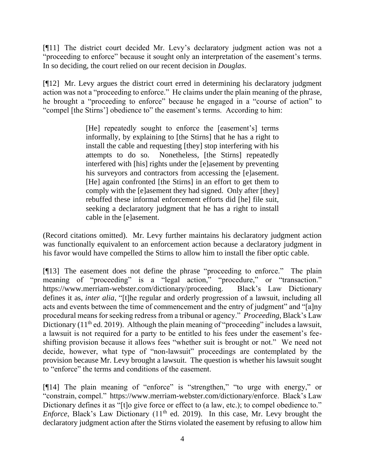[¶11] The district court decided Mr. Levy's declaratory judgment action was not a "proceeding to enforce" because it sought only an interpretation of the easement's terms. In so deciding, the court relied on our recent decision in *Douglas*.

[¶12] Mr. Levy argues the district court erred in determining his declaratory judgment action was not a "proceeding to enforce." He claims under the plain meaning of the phrase, he brought a "proceeding to enforce" because he engaged in a "course of action" to "compel [the Stirns'] obedience to" the easement's terms. According to him:

> [He] repeatedly sought to enforce the [easement's] terms informally, by explaining to [the Stirns] that he has a right to install the cable and requesting [they] stop interfering with his attempts to do so. Nonetheless, [the Stirns] repeatedly interfered with [his] rights under the [e]asement by preventing his surveyors and contractors from accessing the [e]asement. [He] again confronted [the Stirns] in an effort to get them to comply with the [e]asement they had signed. Only after [they] rebuffed these informal enforcement efforts did [he] file suit, seeking a declaratory judgment that he has a right to install cable in the [e]asement.

(Record citations omitted). Mr. Levy further maintains his declaratory judgment action was functionally equivalent to an enforcement action because a declaratory judgment in his favor would have compelled the Stirns to allow him to install the fiber optic cable.

[¶13] The easement does not define the phrase "proceeding to enforce." The plain meaning of "proceeding" is a "legal action," "procedure," or "transaction." https://www.merriam-webster.com/dictionary/proceeding. Black's Law Dictionary defines it as, *inter alia*, "[t]he regular and orderly progression of a lawsuit, including all acts and events between the time of commencement and the entry of judgment" and "[a]ny procedural means for seeking redress from a tribunal or agency." *Proceeding*, Black's Law Dictionary ( $11<sup>th</sup>$  ed. 2019). Although the plain meaning of "proceeding" includes a lawsuit, a lawsuit is not required for a party to be entitled to his fees under the easement's feeshifting provision because it allows fees "whether suit is brought or not." We need not decide, however, what type of "non-lawsuit" proceedings are contemplated by the provision because Mr. Levy brought a lawsuit. The question is whether his lawsuit sought to "enforce" the terms and conditions of the easement.

[¶14] The plain meaning of "enforce" is "strengthen," "to urge with energy," or "constrain, compel." https://www.merriam-webster.com/dictionary/enforce. Black's Law Dictionary defines it as "[t]o give force or effect to (a law, etc.); to compel obedience to." *Enforce*, Black's Law Dictionary (11<sup>th</sup> ed. 2019). In this case, Mr. Levy brought the declaratory judgment action after the Stirns violated the easement by refusing to allow him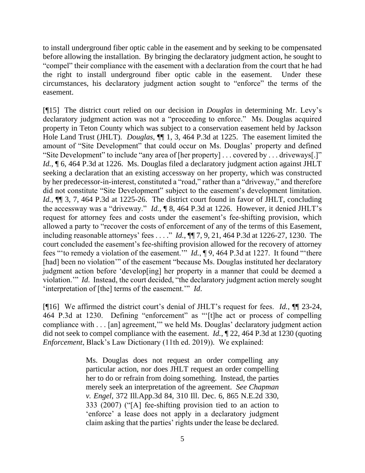to install underground fiber optic cable in the easement and by seeking to be compensated before allowing the installation. By bringing the declaratory judgment action, he sought to "compel" their compliance with the easement with a declaration from the court that he had the right to install underground fiber optic cable in the easement. Under these circumstances, his declaratory judgment action sought to "enforce" the terms of the easement.

[¶15] The district court relied on our decision in *Douglas* in determining Mr. Levy's declaratory judgment action was not a "proceeding to enforce." Ms. Douglas acquired property in Teton County which was subject to a conservation easement held by Jackson Hole Land Trust (JHLT). *Douglas*, ¶¶ 1, 3, 464 P.3d at 1225. The easement limited the amount of "Site Development" that could occur on Ms. Douglas' property and defined "Site Development" to include "any area of [her property] . . . covered by . . . driveways[.]" *Id.*, **[6, 464 P.3d at 1226.** Ms. Douglas filed a declaratory judgment action against JHLT seeking a declaration that an existing accessway on her property, which was constructed by her predecessor-in-interest, constituted a "road," rather than a "driveway," and therefore did not constitute "Site Development" subject to the easement's development limitation. *Id.*, ¶¶ 3, 7, 464 P.3d at 1225-26. The district court found in favor of JHLT, concluding the accessway was a "driveway." *Id.*, ¶ 8, 464 P.3d at 1226. However, it denied JHLT's request for attorney fees and costs under the easement's fee-shifting provision, which allowed a party to "recover the costs of enforcement of any of the terms of this Easement, including reasonable attorneys' fees . . . ." *Id.*, ¶¶ 7, 9, 21, 464 P.3d at 1226-27, 1230. The court concluded the easement's fee-shifting provision allowed for the recovery of attorney fees "'to remedy a violation of the easement.'" *Id.*, ¶ 9, 464 P.3d at 1227. It found "'there [had] been no violation'" of the easement "because Ms. Douglas instituted her declaratory judgment action before 'develop[ing] her property in a manner that could be deemed a violation.'" *Id*. Instead, the court decided, "the declaratory judgment action merely sought 'interpretation of [the] terms of the easement.'" *Id*.

[¶16] We affirmed the district court's denial of JHLT's request for fees. *Id.*, ¶¶ 23-24, 464 P.3d at 1230. Defining "enforcement" as "'[t]he act or process of compelling compliance with . . . [an] agreement,'" we held Ms. Douglas' declaratory judgment action did not seek to compel compliance with the easement. *Id.*, ¶ 22, 464 P.3d at 1230 (quoting *Enforcement*, Black's Law Dictionary (11th ed. 2019)). We explained:

> Ms. Douglas does not request an order compelling any particular action, nor does JHLT request an order compelling her to do or refrain from doing something. Instead, the parties merely seek an interpretation of the agreement. *See Chapman v. Engel*, 372 Ill.App.3d 84, 310 Ill. Dec. 6, 865 N.E.2d 330, 333 (2007) ("[A] fee-shifting provision tied to an action to 'enforce' a lease does not apply in a declaratory judgment claim asking that the parties' rights under the lease be declared.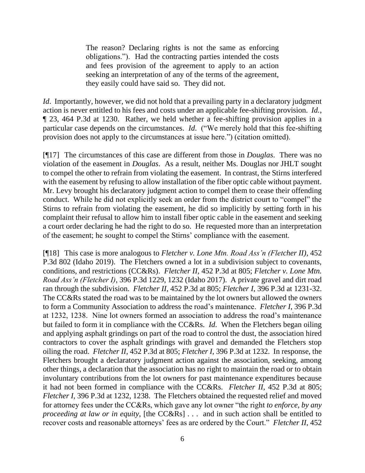The reason? Declaring rights is not the same as enforcing obligations."). Had the contracting parties intended the costs and fees provision of the agreement to apply to an action seeking an interpretation of any of the terms of the agreement, they easily could have said so. They did not.

*Id.* Importantly, however, we did not hold that a prevailing party in a declaratory judgment action is never entitled to his fees and costs under an applicable fee-shifting provision. *Id.*, ¶ 23, 464 P.3d at 1230. Rather, we held whether a fee-shifting provision applies in a particular case depends on the circumstances. *Id*. ("We merely hold that this fee-shifting provision does not apply to the circumstances at issue here.") (citation omitted).

[¶17] The circumstances of this case are different from those in *Douglas*. There was no violation of the easement in *Douglas*. As a result, neither Ms. Douglas nor JHLT sought to compel the other to refrain from violating the easement. In contrast, the Stirns interfered with the easement by refusing to allow installation of the fiber optic cable without payment. Mr. Levy brought his declaratory judgment action to compel them to cease their offending conduct. While he did not explicitly seek an order from the district court to "compel" the Stirns to refrain from violating the easement, he did so implicitly by setting forth in his complaint their refusal to allow him to install fiber optic cable in the easement and seeking a court order declaring he had the right to do so. He requested more than an interpretation of the easement; he sought to compel the Stirns' compliance with the easement.

[¶18] This case is more analogous to *Fletcher v. Lone Mtn. Road Ass'n (Fletcher II)*, 452 P.3d 802 (Idaho 2019). The Fletchers owned a lot in a subdivision subject to covenants, conditions, and restrictions (CC&Rs). *Fletcher II,* 452 P.3d at 805; *Fletcher v. Lone Mtn. Road Ass'n (Fletcher I)*, 396 P.3d 1229, 1232 (Idaho 2017). A private gravel and dirt road ran through the subdivision. *Fletcher II*, 452 P.3d at 805; *Fletcher I*, 396 P.3d at 1231-32. The CC&Rs stated the road was to be maintained by the lot owners but allowed the owners to form a Community Association to address the road's maintenance. *Fletcher I*, 396 P.3d at 1232, 1238. Nine lot owners formed an association to address the road's maintenance but failed to form it in compliance with the CC&Rs. *Id*. When the Fletchers began oiling and applying asphalt grindings on part of the road to control the dust, the association hired contractors to cover the asphalt grindings with gravel and demanded the Fletchers stop oiling the road. *Fletcher II*, 452 P.3d at 805; *Fletcher I*, 396 P.3d at 1232. In response, the Fletchers brought a declaratory judgment action against the association, seeking, among other things, a declaration that the association has no right to maintain the road or to obtain involuntary contributions from the lot owners for past maintenance expenditures because it had not been formed in compliance with the CC&Rs. *Fletcher II*, 452 P.3d at 805; *Fletcher I*, 396 P.3d at 1232, 1238. The Fletchers obtained the requested relief and moved for attorney fees under the CC&Rs, which gave any lot owner "the right *to enforce, by any proceeding at law or in equity*, [the CC&Rs] . . . and in such action shall be entitled to recover costs and reasonable attorneys' fees as are ordered by the Court." *Fletcher II*, 452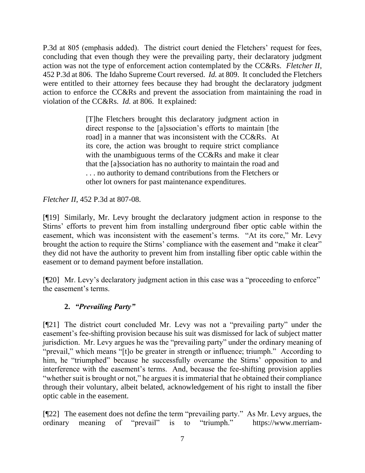P.3d at 805 (emphasis added). The district court denied the Fletchers' request for fees, concluding that even though they were the prevailing party, their declaratory judgment action was not the type of enforcement action contemplated by the CC&Rs. *Fletcher II*, 452 P.3d at 806. The Idaho Supreme Court reversed. *Id.* at 809.It concluded the Fletchers were entitled to their attorney fees because they had brought the declaratory judgment action to enforce the CC&Rs and prevent the association from maintaining the road in violation of the CC&Rs. *Id.* at 806. It explained:

> [T]he Fletchers brought this declaratory judgment action in direct response to the [a]ssociation's efforts to maintain [the road] in a manner that was inconsistent with the CC&Rs. At its core, the action was brought to require strict compliance with the unambiguous terms of the CC&Rs and make it clear that the [a]ssociation has no authority to maintain the road and . . . no authority to demand contributions from the Fletchers or other lot owners for past maintenance expenditures.

*Fletcher II*, 452 P.3d at 807-08.

[¶19] Similarly, Mr. Levy brought the declaratory judgment action in response to the Stirns' efforts to prevent him from installing underground fiber optic cable within the easement, which was inconsistent with the easement's terms. "At its core," Mr. Levy brought the action to require the Stirns' compliance with the easement and "make it clear" they did not have the authority to prevent him from installing fiber optic cable within the easement or to demand payment before installation.

[¶20] Mr. Levy's declaratory judgment action in this case was a "proceeding to enforce" the easement's terms.

# **2.** *"Prevailing Party"*

[¶21] The district court concluded Mr. Levy was not a "prevailing party" under the easement's fee-shifting provision because his suit was dismissed for lack of subject matter jurisdiction. Mr. Levy argues he was the "prevailing party" under the ordinary meaning of "prevail," which means "[t]o be greater in strength or influence; triumph." According to him, he "triumphed" because he successfully overcame the Stirns' opposition to and interference with the easement's terms. And, because the fee-shifting provision applies "whether suit is brought or not," he argues it is immaterial that he obtained their compliance through their voluntary, albeit belated, acknowledgement of his right to install the fiber optic cable in the easement.

[¶22] The easement does not define the term "prevailing party." As Mr. Levy argues, the ordinary meaning of "prevail" is to "triumph." https://www.merriam-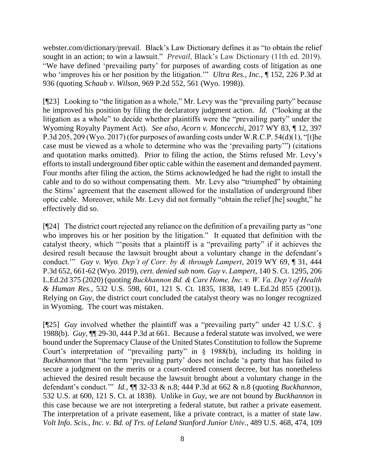webster.com/dictionary/prevail. Black's Law Dictionary defines it as "to obtain the relief sought in an action; to win a lawsuit." *Prevail*, Black's Law Dictionary (11th ed. 2019). "We have defined 'prevailing party' for purposes of awarding costs of litigation as one who 'improves his or her position by the litigation.'" *Ultra Res., Inc.*, ¶ 152, 226 P.3d at 936 (quoting *Schaub v. Wilson*, 969 P.2d 552, 561 (Wyo. 1998)).

[¶23] Looking to "the litigation as a whole," Mr. Levy was the "prevailing party" because he improved his position by filing the declaratory judgment action. *Id.* ("looking at the litigation as a whole" to decide whether plaintiffs were the "prevailing party" under the Wyoming Royalty Payment Act). *See also, Acorn v. Moncecchi*, 2017 WY 83, ¶ 12, 397 P.3d 205, 209 (Wyo. 2017) (for purposes of awarding costs under W.R.C.P. 54(d)(1), "[t]he case must be viewed as a whole to determine who was the 'prevailing party'") (citations and quotation marks omitted). Prior to filing the action, the Stirns refused Mr. Levy's efforts to install underground fiber optic cable within the easement and demanded payment. Four months after filing the action, the Stirns acknowledged he had the right to install the cable and to do so without compensating them. Mr. Levy also "triumphed" by obtaining the Stirns' agreement that the easement allowed for the installation of underground fiber optic cable. Moreover, while Mr. Levy did not formally "obtain the relief [he] sought," he effectively did so.

[¶24] The district court rejected any reliance on the definition of a prevailing party as "one who improves his or her position by the litigation." It equated that definition with the catalyst theory, which "'posits that a plaintiff is a "prevailing party" if it achieves the desired result because the lawsuit brought about a voluntary change in the defendant's conduct.'" *Guy v. Wyo. Dep't of Corr. by & through Lampert*, 2019 WY 69, ¶ 31, 444 P.3d 652, 661-62 (Wyo. 2019), *cert. denied sub nom. Guy v. Lampert*, 140 S. Ct. 1295, 206 L.Ed.2d 375 (2020) (quoting *Buckhannon Bd. & Care Home, Inc. v. W. Va. Dep't of Health & Human Res.*, 532 U.S. 598, 601, 121 S. Ct. 1835, 1838, 149 L.Ed.2d 855 (2001)). Relying on *Guy*, the district court concluded the catalyst theory was no longer recognized in Wyoming. The court was mistaken.

[¶25] *Guy* involved whether the plaintiff was a "prevailing party" under 42 U.S.C. § 1988(b). *Guy*, ¶¶ 29-30, 444 P.3d at 661. Because a federal statute was involved, we were bound under the Supremacy Clause of the United States Constitution to follow the Supreme Court's interpretation of "prevailing party" in § 1988(b), including its holding in *Buckhannon* that "the term 'prevailing party' does not include 'a party that has failed to secure a judgment on the merits or a court-ordered consent decree, but has nonetheless achieved the desired result because the lawsuit brought about a voluntary change in the defendant's conduct.'" *Id.*, ¶¶ 32-33 & n.8; 444 P.3d at 662 & n.8 (quoting *Buckhannon*, 532 U.S. at 600, 121 S. Ct. at 1838). Unlike in *Guy*, we are not bound by *Buckhannon* in this case because we are not interpreting a federal statute, but rather a private easement. The interpretation of a private easement, like a private contract, is a matter of state law. *Volt Info. Scis., Inc. v. Bd. of Trs. of Leland Stanford Junior Univ.*, 489 U.S. 468, 474, 109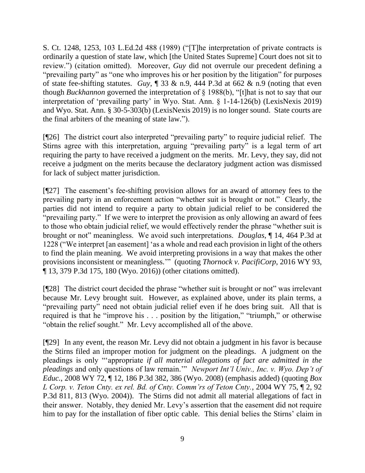S. Ct. 1248, 1253, 103 L.Ed.2d 488 (1989) ("[T]he interpretation of private contracts is ordinarily a question of state law, which [the United States Supreme] Court does not sit to review.") (citation omitted). Moreover, *Guy* did not overrule our precedent defining a "prevailing party" as "one who improves his or her position by the litigation" for purposes of state fee-shifting statutes. *Guy*, ¶ 33 & n.9, 444 P.3d at 662 & n.9 (noting that even though *Buckhannon* governed the interpretation of § 1988(b), "[t]hat is not to say that our interpretation of 'prevailing party' in Wyo. Stat. Ann. § 1-14-126(b) (LexisNexis 2019) and Wyo. Stat. Ann. § 30-5-303(b) (LexisNexis 2019) is no longer sound. State courts are the final arbiters of the meaning of state law.").

[¶26] The district court also interpreted "prevailing party" to require judicial relief. The Stirns agree with this interpretation, arguing "prevailing party" is a legal term of art requiring the party to have received a judgment on the merits. Mr. Levy, they say, did not receive a judgment on the merits because the declaratory judgment action was dismissed for lack of subject matter jurisdiction.

[¶27] The easement's fee-shifting provision allows for an award of attorney fees to the prevailing party in an enforcement action "whether suit is brought or not." Clearly, the parties did not intend to require a party to obtain judicial relief to be considered the "prevailing party." If we were to interpret the provision as only allowing an award of fees to those who obtain judicial relief, we would effectively render the phrase "whether suit is brought or not" meaningless. We avoid such interpretations. *Douglas*, ¶ 14, 464 P.3d at 1228 ("We interpret [an easement] 'as a whole and read each provision in light of the others to find the plain meaning. We avoid interpreting provisions in a way that makes the other provisions inconsistent or meaningless.'" (quoting *Thornock v. PacifiCorp*, 2016 WY 93, ¶ 13, 379 P.3d 175, 180 (Wyo. 2016)) (other citations omitted).

[¶28] The district court decided the phrase "whether suit is brought or not" was irrelevant because Mr. Levy brought suit. However, as explained above, under its plain terms, a "prevailing party" need not obtain judicial relief even if he does bring suit. All that is required is that he "improve his . . . position by the litigation," "triumph," or otherwise "obtain the relief sought." Mr. Levy accomplished all of the above.

[¶29] In any event, the reason Mr. Levy did not obtain a judgment in his favor is because the Stirns filed an improper motion for judgment on the pleadings. A judgment on the pleadings is only "'appropriate *if all material allegations of fact are admitted in the pleadings* and only questions of law remain.'" *Newport Int'l Univ., Inc. v. Wyo. Dep't of Educ.*, 2008 WY 72, ¶ 12, 186 P.3d 382, 386 (Wyo. 2008) (emphasis added) (quoting *Box L Corp. v. Teton Cnty. ex rel. Bd. of Cnty. Comm'rs of Teton Cnty.*, 2004 WY 75, ¶ 2, 92 P.3d 811, 813 (Wyo. 2004)). The Stirns did not admit all material allegations of fact in their answer. Notably, they denied Mr. Levy's assertion that the easement did not require him to pay for the installation of fiber optic cable. This denial belies the Stirns' claim in